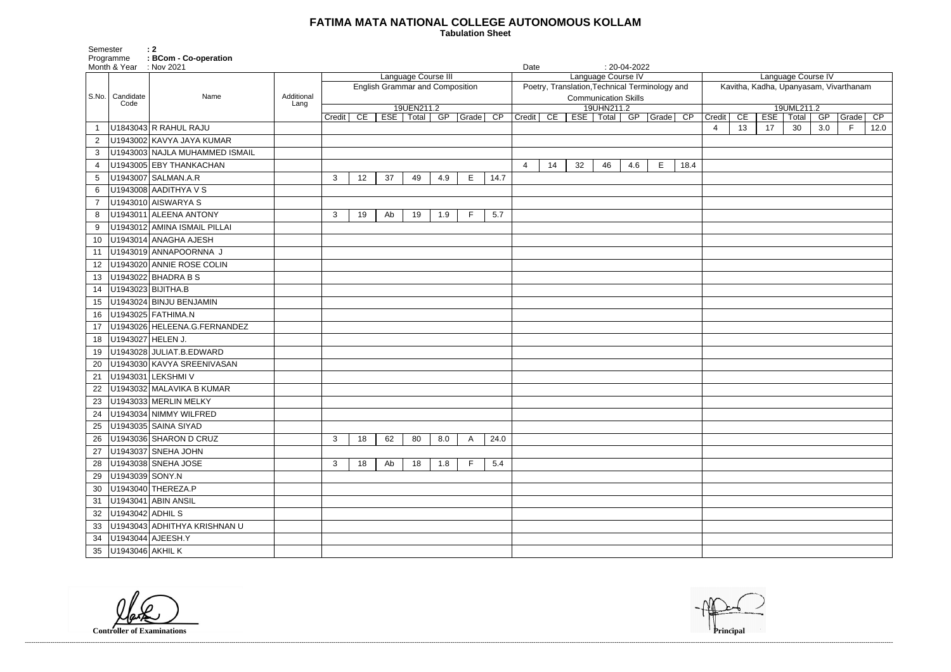## **FATIMA MATA NATIONAL COLLEGE AUTONOMOUS KOLLAM**

 **Tabulation Sheet** 

| Language Course IV                     |    |            |       |     |       |      |  |  |  |  |  |  |  |
|----------------------------------------|----|------------|-------|-----|-------|------|--|--|--|--|--|--|--|
| Kavitha, Kadha, Upanyasam, Vivarthanam |    |            |       |     |       |      |  |  |  |  |  |  |  |
|                                        |    |            |       |     |       |      |  |  |  |  |  |  |  |
| 19UML211.2                             |    |            |       |     |       |      |  |  |  |  |  |  |  |
| Credit                                 | CE | <b>ESE</b> | Total | GP  | Grade | CP   |  |  |  |  |  |  |  |
| $\overline{\mathbf{4}}$                | 13 | 17         | 30    | 3.0 | F.    | 12.0 |  |  |  |  |  |  |  |
|                                        |    |            |       |     |       |      |  |  |  |  |  |  |  |
|                                        |    |            |       |     |       |      |  |  |  |  |  |  |  |
|                                        |    |            |       |     |       |      |  |  |  |  |  |  |  |
|                                        |    |            |       |     |       |      |  |  |  |  |  |  |  |
|                                        |    |            |       |     |       |      |  |  |  |  |  |  |  |
|                                        |    |            |       |     |       |      |  |  |  |  |  |  |  |
|                                        |    |            |       |     |       |      |  |  |  |  |  |  |  |
|                                        |    |            |       |     |       |      |  |  |  |  |  |  |  |
|                                        |    |            |       |     |       |      |  |  |  |  |  |  |  |
|                                        |    |            |       |     |       |      |  |  |  |  |  |  |  |
|                                        |    |            |       |     |       |      |  |  |  |  |  |  |  |
|                                        |    |            |       |     |       |      |  |  |  |  |  |  |  |
|                                        |    |            |       |     |       |      |  |  |  |  |  |  |  |
|                                        |    |            |       |     |       |      |  |  |  |  |  |  |  |
|                                        |    |            |       |     |       |      |  |  |  |  |  |  |  |
|                                        |    |            |       |     |       |      |  |  |  |  |  |  |  |
|                                        |    |            |       |     |       |      |  |  |  |  |  |  |  |
|                                        |    |            |       |     |       |      |  |  |  |  |  |  |  |
|                                        |    |            |       |     |       |      |  |  |  |  |  |  |  |
|                                        |    |            |       |     |       |      |  |  |  |  |  |  |  |
|                                        |    |            |       |     |       |      |  |  |  |  |  |  |  |
|                                        |    |            |       |     |       |      |  |  |  |  |  |  |  |
|                                        |    |            |       |     |       |      |  |  |  |  |  |  |  |
|                                        |    |            |       |     |       |      |  |  |  |  |  |  |  |
|                                        |    |            |       |     |       |      |  |  |  |  |  |  |  |
|                                        |    |            |       |     |       |      |  |  |  |  |  |  |  |
|                                        |    |            |       |     |       |      |  |  |  |  |  |  |  |
|                                        |    |            |       |     |       |      |  |  |  |  |  |  |  |
|                                        |    |            |       |     |       |      |  |  |  |  |  |  |  |
|                                        |    |            |       |     |       |      |  |  |  |  |  |  |  |
|                                        |    |            |       |     |       |      |  |  |  |  |  |  |  |
|                                        |    |            |       |     |       |      |  |  |  |  |  |  |  |
|                                        |    |            |       |     |       |      |  |  |  |  |  |  |  |
|                                        |    |            |       |     |       |      |  |  |  |  |  |  |  |
|                                        |    |            |       |     |       |      |  |  |  |  |  |  |  |
|                                        |    |            |       |     |       |      |  |  |  |  |  |  |  |
|                                        |    |            |       |     |       |      |  |  |  |  |  |  |  |
|                                        |    |            |       |     |       |      |  |  |  |  |  |  |  |
|                                        |    |            |       |     |       |      |  |  |  |  |  |  |  |
|                                        |    |            |       |     |       |      |  |  |  |  |  |  |  |
|                                        |    |            |       |     |       |      |  |  |  |  |  |  |  |
|                                        |    |            |       |     |       |      |  |  |  |  |  |  |  |

Programme **: BCom - Co-operation** Month & Year : Nov 2021 **Date** : 20-04-2022 S.No. Candidate Code Name **Additional Lang** Language Course III English Grammar and Composition 19UEN211.2 Credit | CE | ESE | Total | GP | Grade | CP | Credit | CE | ESE | Total | GP | Grade | CP Language Course IV Poetry, Translation,Technical Terminology and Communication Skills 19UHN211.2 U1843043 R RAHUL RAJU 4 13 17 30 3.0 F 12.0 U1943002 KAVYA JAYA KUMAR U1943003 NAJLA MUHAMMED ISMAIL U1943005 EBY THANKACHAN 4 14 32 46 4.6 E 18.4 5 |U1943007 | SALMAN.A.R | 3 | 12 | 37 | 49 | 4.9 | E | 14.7 U1943008 AADITHYA V S U1943010 AISWARYA S U1943011 ALEENA ANTONY 3 19 Ab 19 1.9 F 5.7 U1943012 AMINA ISMAIL PILLAI U1943014 ANAGHA AJESH U1943019 ANNAPOORNNA J U1943020 ANNIE ROSE COLIN U1943022 BHADRA B S U1943023 BIJITHA.B U1943024 BINJU BENJAMIN U1943025 FATHIMA.N U1943026 HELEENA.G.FERNANDEZ U1943027 HELEN J. U1943028 JULIAT.B.EDWARD U1943030 KAVYA SREENIVASAN U1943031 LEKSHMI V U1943032 MALAVIKA B KUMAR U1943033 MERLIN MELKY U1943034 NIMMY WILFRED U1943035 SAINA SIYAD U1943036 SHARON D CRUZ 3 18 62 80 8.0 A 24.0 27 U1943037 SNEHA JOHN U1943038 SNEHA JOSE 3 18 Ab 18 1.8 F 5.4 U1943039 SONY.N U1943040 THEREZA.P U1943041 ABIN ANSIL U1943042 ADHIL S U1943043 ADHITHYA KRISHNAN U U1943044 AJEESH.Y U1943046 AKHIL K

------------------------------------------------------------------------------------------------------------------------------------------------------------------------------------------------------------------------------------------------------------------------------------------------------------------------------------------------------------------------------------------------------------------------

**Controller of Examinations** 

Semester : 2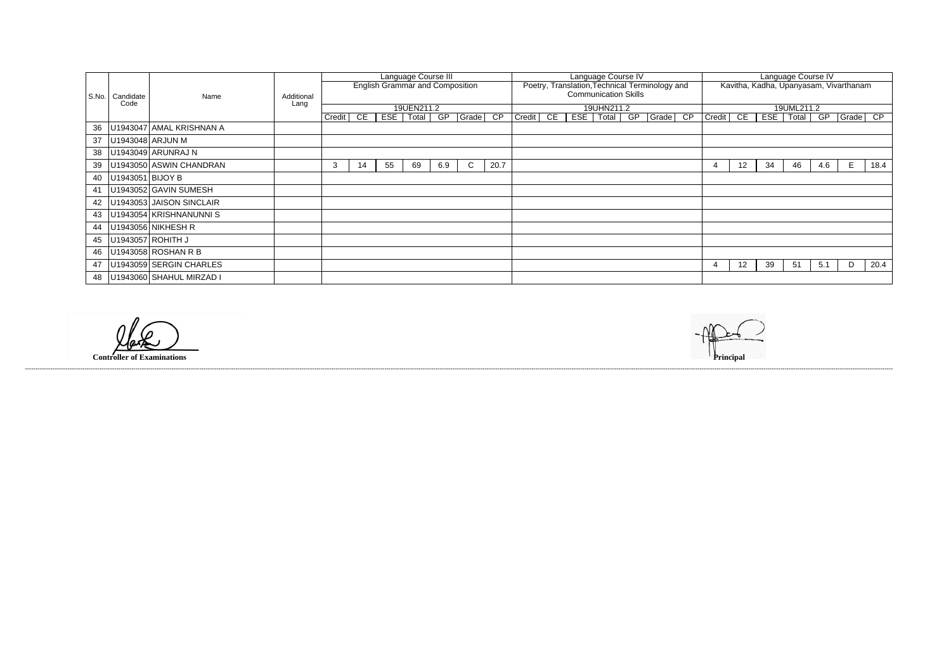| Language Course IV                                                             |    |    |            |     |   |      |  |  |  |  |  |  |  |  |
|--------------------------------------------------------------------------------|----|----|------------|-----|---|------|--|--|--|--|--|--|--|--|
| Kavitha, Kadha, Upanyasam, Vivarthanam                                         |    |    |            |     |   |      |  |  |  |  |  |  |  |  |
|                                                                                |    |    |            |     |   |      |  |  |  |  |  |  |  |  |
|                                                                                |    |    |            |     |   |      |  |  |  |  |  |  |  |  |
|                                                                                |    |    | 19UML211.2 |     |   |      |  |  |  |  |  |  |  |  |
| $\overline{\mathsf{CP}}$<br>Credit<br>CE<br><b>ESE</b><br>Grade<br>Total<br>GP |    |    |            |     |   |      |  |  |  |  |  |  |  |  |
|                                                                                |    |    |            |     |   |      |  |  |  |  |  |  |  |  |
|                                                                                |    |    |            |     |   |      |  |  |  |  |  |  |  |  |
|                                                                                |    |    |            |     |   |      |  |  |  |  |  |  |  |  |
|                                                                                |    |    |            |     |   |      |  |  |  |  |  |  |  |  |
|                                                                                |    |    |            |     |   |      |  |  |  |  |  |  |  |  |
| 4                                                                              | 12 | 34 | 46         | 4.6 | Е | 18.4 |  |  |  |  |  |  |  |  |
|                                                                                |    |    |            |     |   |      |  |  |  |  |  |  |  |  |
|                                                                                |    |    |            |     |   |      |  |  |  |  |  |  |  |  |
|                                                                                |    |    |            |     |   |      |  |  |  |  |  |  |  |  |
|                                                                                |    |    |            |     |   |      |  |  |  |  |  |  |  |  |
|                                                                                |    |    |            |     |   |      |  |  |  |  |  |  |  |  |
|                                                                                |    |    |            |     |   |      |  |  |  |  |  |  |  |  |
|                                                                                |    |    |            |     |   |      |  |  |  |  |  |  |  |  |
|                                                                                |    |    |            |     |   |      |  |  |  |  |  |  |  |  |
|                                                                                |    |    |            |     |   |      |  |  |  |  |  |  |  |  |
|                                                                                |    |    |            |     |   |      |  |  |  |  |  |  |  |  |
| 4                                                                              | 12 | 39 | 51         | 5.1 | D | 20.4 |  |  |  |  |  |  |  |  |
|                                                                                |    |    |            |     |   |      |  |  |  |  |  |  |  |  |

|       |                  |                          |            | Language Course III<br><b>English Grammar and Composition</b> |    |     |            |     | Language Course IV |      |                                                                               |    |     |       |  | Language Course IV |       |                                        |        |    |            |       |  |     |              |      |
|-------|------------------|--------------------------|------------|---------------------------------------------------------------|----|-----|------------|-----|--------------------|------|-------------------------------------------------------------------------------|----|-----|-------|--|--------------------|-------|----------------------------------------|--------|----|------------|-------|--|-----|--------------|------|
| S.No. | Candidate        | Name                     | Additional |                                                               |    |     |            |     |                    |      | Poetry, Translation, Technical Terminology and<br><b>Communication Skills</b> |    |     |       |  |                    |       | Kavitha, Kadha, Upanyasam, Vivarthanam |        |    |            |       |  |     |              |      |
|       | Code             |                          | Lang       |                                                               |    |     | 19UEN211.2 |     |                    |      | 19UHN211.2                                                                    |    |     |       |  |                    |       |                                        |        |    | 19UML211.2 |       |  |     |              |      |
|       |                  |                          |            | Credit                                                        | CE | ESE | Total      | GP  | Grade CP           |      | Credit                                                                        | CE | ESE | Total |  | GP                 | Grade | CP                                     | Credit | CE | <b>ESE</b> | Total |  | GP  | $Grade$ $CP$ |      |
| 36    |                  | U1943047 AMAL KRISHNAN A |            |                                                               |    |     |            |     |                    |      |                                                                               |    |     |       |  |                    |       |                                        |        |    |            |       |  |     |              |      |
| 37    | U1943048 ARJUN M |                          |            |                                                               |    |     |            |     |                    |      |                                                                               |    |     |       |  |                    |       |                                        |        |    |            |       |  |     |              |      |
| 38    |                  | U1943049 ARUNRAJ N       |            |                                                               |    |     |            |     |                    |      |                                                                               |    |     |       |  |                    |       |                                        |        |    |            |       |  |     |              |      |
| 39    |                  | U1943050 ASWIN CHANDRAN  |            | 3                                                             | 14 | 55  | 69         | 6.9 | $\mathsf{C}$       | 20.7 |                                                                               |    |     |       |  |                    |       |                                        | 4      | 12 | 34         | 46    |  | 4.6 | Е            | 18.4 |
| 40    | U1943051 BIJOY B |                          |            |                                                               |    |     |            |     |                    |      |                                                                               |    |     |       |  |                    |       |                                        |        |    |            |       |  |     |              |      |
| 41    |                  | U1943052 GAVIN SUMESH    |            |                                                               |    |     |            |     |                    |      |                                                                               |    |     |       |  |                    |       |                                        |        |    |            |       |  |     |              |      |
| 42    |                  | U1943053 JAISON SINCLAIR |            |                                                               |    |     |            |     |                    |      |                                                                               |    |     |       |  |                    |       |                                        |        |    |            |       |  |     |              |      |
| 43    |                  | U1943054 KRISHNANUNNI S  |            |                                                               |    |     |            |     |                    |      |                                                                               |    |     |       |  |                    |       |                                        |        |    |            |       |  |     |              |      |
| 44    |                  | U1943056 NIKHESH R       |            |                                                               |    |     |            |     |                    |      |                                                                               |    |     |       |  |                    |       |                                        |        |    |            |       |  |     |              |      |
| 45    |                  | U1943057 ROHITH J        |            |                                                               |    |     |            |     |                    |      |                                                                               |    |     |       |  |                    |       |                                        |        |    |            |       |  |     |              |      |
| 46    |                  | U1943058 ROSHAN R B      |            |                                                               |    |     |            |     |                    |      |                                                                               |    |     |       |  |                    |       |                                        |        |    |            |       |  |     |              |      |
| 47    |                  | U1943059 SERGIN CHARLES  |            |                                                               |    |     |            |     |                    |      |                                                                               |    |     |       |  |                    |       |                                        | 4      | 12 | 39         | 51    |  | 5.1 | D            | 20.4 |
| 48    |                  | U1943060 SHAHUL MIRZAD I |            |                                                               |    |     |            |     |                    |      |                                                                               |    |     |       |  |                    |       |                                        |        |    |            |       |  |     |              |      |

 $\varphi$ 

**Controller of Examinations Principal**

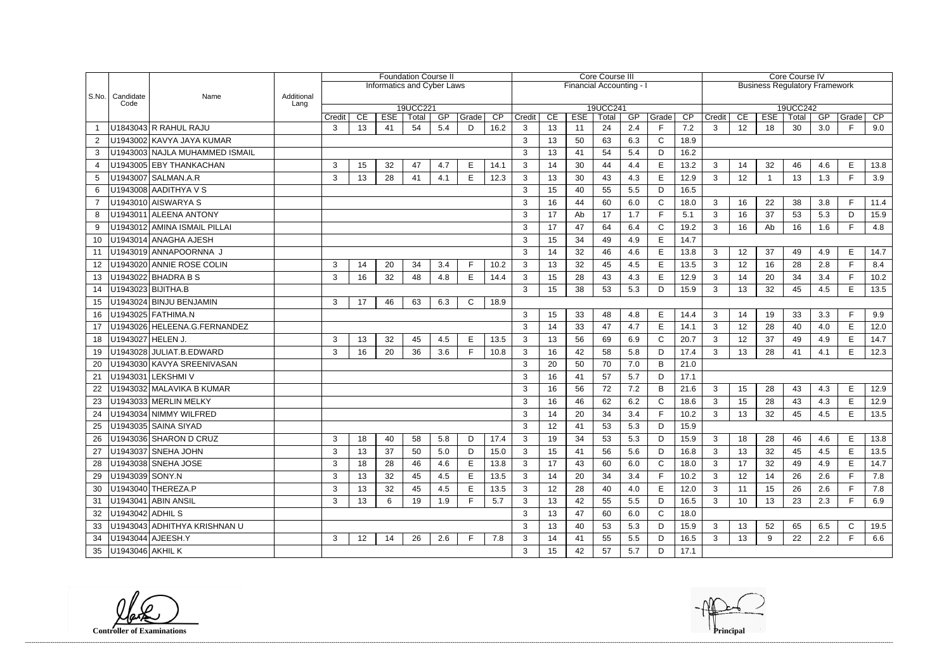|                |                         |                                |            |        |    |            | <b>Foundation Course II</b>       |     |              |                 | <b>Core Course III</b> |    |                        |          |     |              |      |                                      | Core Course IV  |            |          |     |       |      |  |  |  |
|----------------|-------------------------|--------------------------------|------------|--------|----|------------|-----------------------------------|-----|--------------|-----------------|------------------------|----|------------------------|----------|-----|--------------|------|--------------------------------------|-----------------|------------|----------|-----|-------|------|--|--|--|
|                |                         |                                |            |        |    |            | <b>Informatics and Cyber Laws</b> |     |              |                 |                        |    | Financial Accounting - |          |     |              |      | <b>Business Regulatory Framework</b> |                 |            |          |     |       |      |  |  |  |
|                | S.No.   Candidate       | Name                           | Additional |        |    |            |                                   |     |              |                 |                        |    |                        |          |     |              |      |                                      |                 |            |          |     |       |      |  |  |  |
|                | Code                    |                                | Lang       |        |    |            | 19UCC221                          |     |              |                 |                        |    |                        | 19UCC241 |     |              |      |                                      |                 |            | 19UCC242 |     |       |      |  |  |  |
|                |                         |                                |            | Credit | CE | <b>ESE</b> | Total                             | GP  | Grade        | $\overline{CP}$ | Credit                 | CE | <b>ESE</b>             | Total    | GP  | Grade        | CP   | Credit                               | CE              | <b>ESE</b> | Total    | GP  | Grade | CP   |  |  |  |
|                |                         | U1843043 R RAHUL RAJU          |            | 3      | 13 | 41         | 54                                | 5.4 | D            | 16.2            | 3                      | 13 | 11                     | 24       | 2.4 | $\mathsf{F}$ | 7.2  | $\mathbf{3}$                         | 12              | 18         | 30       | 3.0 | F.    | 9.0  |  |  |  |
| $\overline{2}$ |                         | U1943002 KAVYA JAYA KUMAR      |            |        |    |            |                                   |     |              |                 | 3                      | 13 | 50                     | 63       | 6.3 | $\mathsf{C}$ | 18.9 |                                      |                 |            |          |     |       |      |  |  |  |
| 3              |                         | U1943003 NAJLA MUHAMMED ISMAIL |            |        |    |            |                                   |     |              |                 | 3                      | 13 | 41                     | 54       | 5.4 | D            | 16.2 |                                      |                 |            |          |     |       |      |  |  |  |
| 4              |                         | U1943005 EBY THANKACHAN        |            | 3      | 15 | 32         | 47                                | 4.7 | Е            | 14.1            | 3                      | 14 | 30                     | 44       | 4.4 | $\mathsf E$  | 13.2 | $\mathbf{3}$                         | 14              | 32         | 46       | 4.6 | E     | 13.8 |  |  |  |
| 5              |                         | U1943007 SALMAN.A.R            |            | 3      | 13 | 28         | 41                                | 4.1 | E            | 12.3            | $\mathbf{3}$           | 13 | 30                     | 43       | 4.3 | E            | 12.9 | 3                                    | 12              |            | 13       | 1.3 | F.    | 3.9  |  |  |  |
| 6              |                         | U1943008 AADITHYA V S          |            |        |    |            |                                   |     |              |                 | 3                      | 15 | 40                     | 55       | 5.5 | D            | 16.5 |                                      |                 |            |          |     |       |      |  |  |  |
| $\overline{7}$ |                         | U1943010 AISWARYA S            |            |        |    |            |                                   |     |              |                 | 3                      | 16 | 44                     | 60       | 6.0 | $\mathsf{C}$ | 18.0 | $\mathbf{3}$                         | 16              | 22         | 38       | 3.8 | F.    | 11.4 |  |  |  |
| 8              |                         | U1943011 ALEENA ANTONY         |            |        |    |            |                                   |     |              |                 | 3                      | 17 | Ab                     | 17       | 1.7 | F            | 5.1  | 3                                    | 16              | 37         | 53       | 5.3 | D     | 15.9 |  |  |  |
| 9              |                         | U1943012 AMINA ISMAIL PILLAI   |            |        |    |            |                                   |     |              |                 | 3                      | 17 | 47                     | 64       | 6.4 | $\mathsf{C}$ | 19.2 | $\mathbf{3}$                         | 16              | Ab         | 16       | 1.6 | F.    | 4.8  |  |  |  |
| 10             |                         | U1943014 ANAGHA AJESH          |            |        |    |            |                                   |     |              |                 | 3                      | 15 | 34                     | 49       | 4.9 | E            | 14.7 |                                      |                 |            |          |     |       |      |  |  |  |
| 11             |                         | U1943019 ANNAPOORNNA J         |            |        |    |            |                                   |     |              |                 | 3                      | 14 | 32                     | 46       | 4.6 | E            | 13.8 | $\mathbf{3}$                         | 12              | 37         | 49       | 4.9 | E     | 14.7 |  |  |  |
| $12 \,$        |                         | U1943020 ANNIE ROSE COLIN      |            | 3      | 14 | 20         | 34                                | 3.4 | F            | 10.2            | $\mathbf{3}$           | 13 | 32                     | 45       | 4.5 | E            | 13.5 | $\mathbf{3}$                         | 12              | 16         | 28       | 2.8 | F.    | 8.4  |  |  |  |
| 13             |                         | U1943022 BHADRA B S            |            | 3      | 16 | 32         | 48                                | 4.8 | Е            | 14.4            | 3                      | 15 | 28                     | 43       | 4.3 | E            | 12.9 | 3                                    | 14              | 20         | 34       | 3.4 | F.    | 10.2 |  |  |  |
| 14             |                         | U1943023 BIJITHA.B             |            |        |    |            |                                   |     |              |                 | 3                      | 15 | 38                     | 53       | 5.3 | D            | 15.9 | 3                                    | 13              | 32         | 45       | 4.5 | E.    | 13.5 |  |  |  |
| 15             |                         | U1943024 BINJU BENJAMIN        |            | 3      | 17 | 46         | 63                                | 6.3 | $\mathsf{C}$ | 18.9            |                        |    |                        |          |     |              |      |                                      |                 |            |          |     |       |      |  |  |  |
| 16             |                         | U1943025 FATHIMA.N             |            |        |    |            |                                   |     |              |                 | 3                      | 15 | 33                     | 48       | 4.8 | E            | 14.4 | $\mathbf{3}$                         | 14              | 19         | 33       | 3.3 | F     | 9.9  |  |  |  |
| 17             |                         | U1943026 HELEENA.G.FERNANDEZ   |            |        |    |            |                                   |     |              |                 | 3                      | 14 | 33                     | 47       | 4.7 | E            | 14.1 | $\mathbf{3}$                         | 12              | 28         | 40       | 4.0 | E.    | 12.0 |  |  |  |
| 18             | U1943027 HELEN J.       |                                |            | 3      | 13 | 32         | 45                                | 4.5 | E            | 13.5            | 3                      | 13 | 56                     | 69       | 6.9 | $\mathsf{C}$ | 20.7 | 3                                    | 12              | 37         | 49       | 4.9 | E.    | 14.7 |  |  |  |
| 19             |                         | U1943028 JULIAT.B.EDWARD       |            | 3      | 16 | 20         | 36                                | 3.6 | F.           | 10.8            | 3                      | 16 | 42                     | 58       | 5.8 | D            | 17.4 | $\mathbf{3}$                         | 13              | 28         | 41       | 4.1 | E.    | 12.3 |  |  |  |
| 20             |                         | U1943030 KAVYA SREENIVASAN     |            |        |    |            |                                   |     |              |                 | 3                      | 20 | 50                     | 70       | 7.0 | B            | 21.0 |                                      |                 |            |          |     |       |      |  |  |  |
| 21             |                         | U1943031 LEKSHMI V             |            |        |    |            |                                   |     |              |                 | 3                      | 16 | 41                     | 57       | 5.7 | D            | 17.1 |                                      |                 |            |          |     |       |      |  |  |  |
| 22             |                         | U1943032 MALAVIKA B KUMAR      |            |        |    |            |                                   |     |              |                 | 3                      | 16 | 56                     | 72       | 7.2 | B            | 21.6 | 3                                    | 15              | 28         | 43       | 4.3 | E     | 12.9 |  |  |  |
| 23             |                         | U1943033 MERLIN MELKY          |            |        |    |            |                                   |     |              |                 | 3                      | 16 | 46                     | 62       | 6.2 | $\mathsf{C}$ | 18.6 | 3                                    | 15              | 28         | 43       | 4.3 | E.    | 12.9 |  |  |  |
| 24             |                         | U1943034 NIMMY WILFRED         |            |        |    |            |                                   |     |              |                 | 3                      | 14 | 20                     | 34       | 3.4 | E            | 10.2 | $\mathbf{3}$                         | 13              | 32         | 45       | 4.5 | E.    | 13.5 |  |  |  |
|                |                         | 25   U1943035   SAINA SIYAD    |            |        |    |            |                                   |     |              |                 | $\mathcal{R}$          | 12 | 41<br>T I              | 53       | 5.3 | $\mathsf{D}$ | 15.9 |                                      |                 |            |          |     |       |      |  |  |  |
| 26             |                         | U1943036 SHARON D CRUZ         |            | 3      | 18 | 40         | 58                                | 5.8 | D            | 17.4            | 3                      | 19 | 34                     | 53       | 5.3 | D            | 15.9 | 3                                    | 18              | 28         | 46       | 4.6 | E     | 13.8 |  |  |  |
| 27             |                         | U1943037 SNEHA JOHN            |            | 3      | 13 | 37         | 50                                | 5.0 | D            | 15.0            | $\mathbf{3}$           | 15 | 41                     | 56       | 5.6 | D            | 16.8 | $\mathbf{3}$                         | 13              | 32         | 45       | 4.5 | E.    | 13.5 |  |  |  |
| 28             |                         | U1943038 SNEHA JOSE            |            | 3      | 18 | 28         | 46                                | 4.6 | E.           | 13.8            | 3                      | 17 | 43                     | 60       | 6.0 | C            | 18.0 | 3                                    | 17              | 32         | 49       | 4.9 | E.    | 14.7 |  |  |  |
| 29             | U1943039 SONY.N         |                                |            | 3      | 13 | 32         | 45                                | 4.5 | Е            | 13.5            | 3                      | 14 | 20                     | 34       | 3.4 | F            | 10.2 | $\mathbf{3}$                         | 12              | 14         | 26       | 2.6 | F     | 7.8  |  |  |  |
| 30             |                         | U1943040 THEREZA.P             |            | 3      | 13 | 32         | 45                                | 4.5 | Е            | 13.5            | 3                      | 12 | 28                     | 40       | 4.0 | E            | 12.0 | $\mathbf{3}$                         | 11              | 15         | 26       | 2.6 | F.    | 7.8  |  |  |  |
| 31             |                         | U1943041 ABIN ANSIL            |            | 3      | 13 | 6          | 19                                | 1.9 |              | 5.7             | 3                      | 13 | 42                     | 55       | 5.5 | D            | 16.5 | 3                                    | 10 <sup>°</sup> | 13         | 23       | 2.3 |       | 6.9  |  |  |  |
| 32             | U1943042 ADHIL S        |                                |            |        |    |            |                                   |     |              |                 | 3                      | 13 | 47                     | 60       | 6.0 | $\mathsf{C}$ | 18.0 |                                      |                 |            |          |     |       |      |  |  |  |
| 33             |                         | U1943043 ADHITHYA KRISHNAN U   |            |        |    |            |                                   |     |              |                 | 3                      | 13 | 40                     | 53       | 5.3 | D            | 15.9 | 3                                    | 13              | 52         | 65       | 6.5 | C     | 19.5 |  |  |  |
| 34             |                         | U1943044 AJEESH.Y              |            | 3      | 12 | 14         | 26                                | 2.6 | F            | 7.8             | 3                      | 14 | 41                     | 55       | 5.5 | D            | 16.5 | 3                                    | 13              | 9          | 22       | 2.2 | F.    | 6.6  |  |  |  |
|                | 35   U1943046   AKHIL K |                                |            |        |    |            |                                   |     |              |                 | 3                      | 15 | 42                     | 57       | 5.7 | D            | 17.1 |                                      |                 |            |          |     |       |      |  |  |  |

**Controller of Examinations Principal**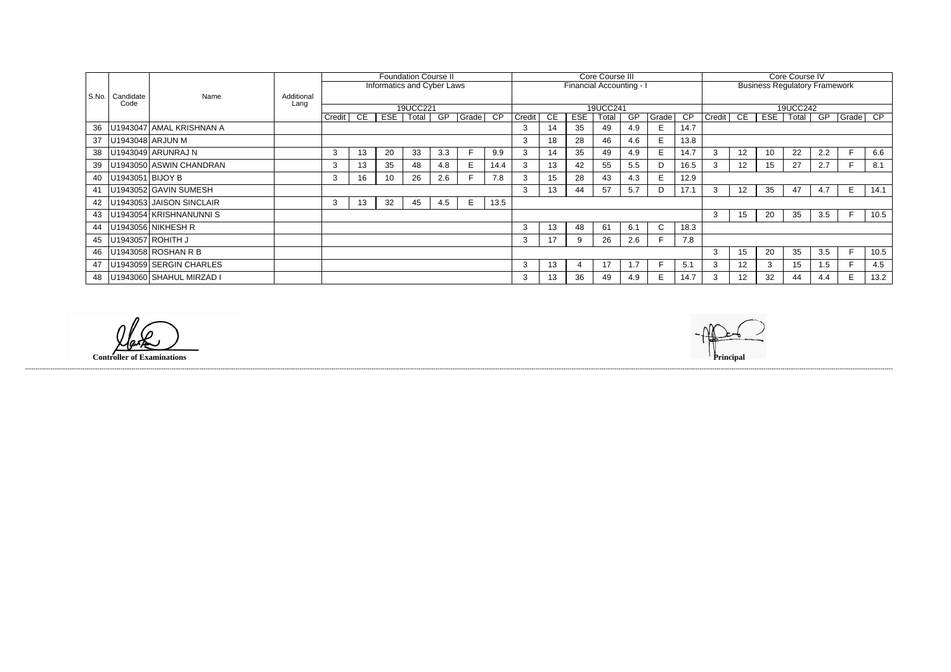|       |                    |                          |            |              | <b>Foundation Course II</b> |                 |                            |     |       |                 |                          | Core Course III |            |       |     |             |                 |               |                                      | Core Course IV |       |     |       |      |  |  |
|-------|--------------------|--------------------------|------------|--------------|-----------------------------|-----------------|----------------------------|-----|-------|-----------------|--------------------------|-----------------|------------|-------|-----|-------------|-----------------|---------------|--------------------------------------|----------------|-------|-----|-------|------|--|--|
|       |                    |                          |            |              |                             |                 | Informatics and Cyber Laws |     |       |                 | Financial Accounting - I |                 |            |       |     |             |                 |               | <b>Business Regulatory Framework</b> |                |       |     |       |      |  |  |
| S.No. | Candidate          | Name                     | Additional |              |                             |                 |                            |     |       |                 |                          |                 |            |       |     |             |                 |               |                                      |                |       |     |       |      |  |  |
|       | Code               |                          | Lang       |              | 19UCC221                    |                 |                            |     |       |                 |                          | 19UCC241        |            |       |     |             |                 |               |                                      | 19UCC242       |       |     |       |      |  |  |
|       |                    |                          |            | Credit       | CE                          | ESE             | Total                      | GP  | Grade | $\overline{CP}$ | Credit                   | CE              | <b>ESE</b> | Total | GP  | Grade       | $\overline{CP}$ | <b>Credit</b> | CE                                   | ESE            | Total | GP  | Grade | CP   |  |  |
| 36    |                    | U1943047 AMAL KRISHNAN A |            |              |                             |                 |                            |     |       |                 | 3                        | 14              | 35         | 49    | 4.9 | E           | 14.7            |               |                                      |                |       |     |       |      |  |  |
| 37    |                    | U1943048 ARJUN M         |            |              |                             |                 |                            |     |       |                 |                          | 18              | 28         | 46    | 4.6 | E           | 13.8            |               |                                      |                |       |     |       |      |  |  |
| 38    |                    | U1943049 ARUNRAJ N       |            | 3            | 13                          | 20              | 33                         | 3.3 |       | 9.9             |                          | 14              | 35         | 49    | 4.9 |             | 14.7            | 3             | 12                                   | 10             | 22    | 2.2 |       | 6.6  |  |  |
| 39    |                    | U1943050 ASWIN CHANDRAN  |            | 3            | 13                          | 35              | 48                         | 4.8 |       | 14.4            |                          | 13              | 42         | 55    | 5.5 | D           | 16.5            | 3             | 12 <sub>2</sub>                      | 15             | 27    | 2.7 |       | 8.1  |  |  |
| 40    | U1943051   BIJOY B |                          |            | 3            | 16                          | 10 <sup>°</sup> | 26                         | 2.6 |       | 7.8             |                          | 15              | 28         | 43    | 4.3 | E.          | 12.9            |               |                                      |                |       |     |       |      |  |  |
| 41    |                    | U1943052 GAVIN SUMESH    |            |              |                             |                 |                            |     |       |                 | 3                        | 13              | 44         | 57    | 5.7 | D           | 17.1            | 3             | 12                                   | 35             | 47    | 4.7 | E     | 14.1 |  |  |
| 42    |                    | U1943053 JAISON SINCLAIR |            | $\mathbf{3}$ | 13                          | 32              | 45                         | 4.5 | E     | 13.5            |                          |                 |            |       |     |             |                 |               |                                      |                |       |     |       |      |  |  |
| 43    |                    | U1943054 KRISHNANUNNI S  |            |              |                             |                 |                            |     |       |                 |                          |                 |            |       |     |             |                 | 3             | 15                                   | 20             | 35    | 3.5 | F.    | 10.5 |  |  |
| 44    |                    | U1943056 NIKHESH R       |            |              |                             |                 |                            |     |       |                 |                          | 13              | 48         | 61    | 6.1 | $\mathbf C$ | 18.3            |               |                                      |                |       |     |       |      |  |  |
| 45    |                    | U1943057 ROHITH J        |            |              |                             |                 |                            |     |       |                 | 3                        | 17              | 9          | 26    | 2.6 |             | 7.8             |               |                                      |                |       |     |       |      |  |  |
| 46    |                    | U1943058 ROSHAN R B      |            |              |                             |                 |                            |     |       |                 |                          |                 |            |       |     |             |                 | 3             | 15                                   | 20             | 35    | 3.5 |       | 10.5 |  |  |
| 47    |                    | U1943059 SERGIN CHARLES  |            |              |                             |                 |                            |     |       |                 | 3                        | 13              | 4          | 17    | 1.7 |             | 5.1             | 3             | 12 <sub>2</sub>                      | 3              | 15    | 1.5 |       | 4.5  |  |  |
| 48    |                    | U1943060 SHAHUL MIRZAD I |            |              |                             |                 |                            |     |       |                 | 3                        | 13              | 36         | 49    | 4.9 | E.          | 14.7            | 3             | 12 <sup>°</sup>                      | 32             | 44    | 4.4 | E     | 13.2 |  |  |

 $\mathscr{L}$ 

**Controller of Examinations Principal**

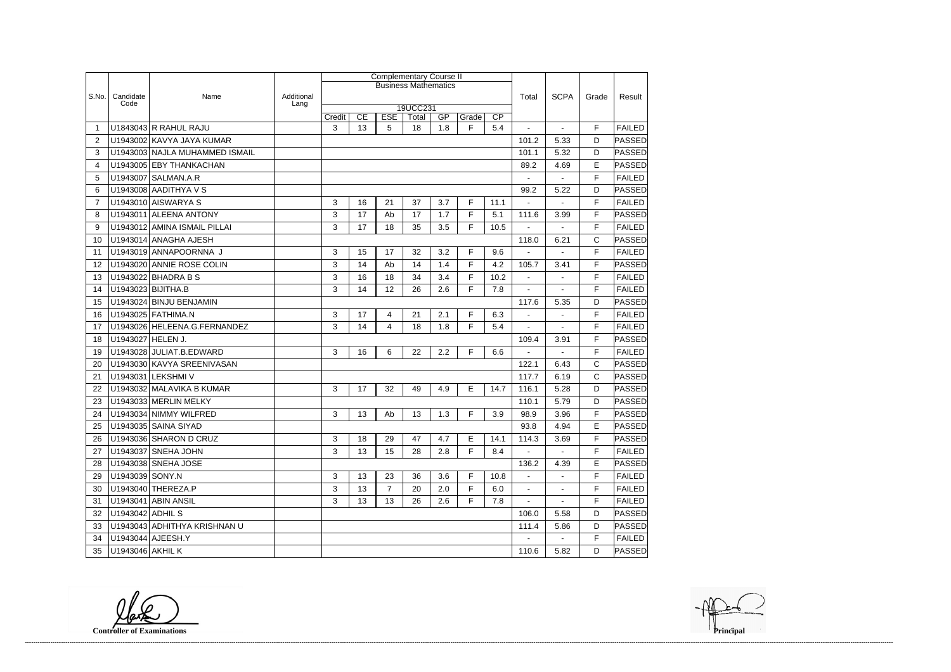|                |                   |                                |                    |        |    | <b>Complementary Course II</b> |                   |     |       |      |                |                |              |               |
|----------------|-------------------|--------------------------------|--------------------|--------|----|--------------------------------|-------------------|-----|-------|------|----------------|----------------|--------------|---------------|
|                |                   |                                |                    |        |    | <b>Business Mathematics</b>    |                   |     |       |      |                |                |              |               |
| S.No.          | Candidate<br>Code | Name                           | Additional<br>Lang |        |    |                                |                   |     |       |      | Total          | <b>SCPA</b>    | Grade        | Result        |
|                |                   |                                |                    | Credit | CE | <b>ESE</b>                     | 19UCC231<br>Total | GP  | Grade | CP   |                |                |              |               |
| 1              |                   | U1843043 R RAHUL RAJU          |                    | 3      | 13 | 5                              | 18                | 1.8 | F     | 5.4  |                |                | F            | <b>FAILED</b> |
| $\overline{2}$ |                   | U1943002 KAVYA JAYA KUMAR      |                    |        |    |                                |                   |     |       |      | 101.2          | 5.33           | D            | PASSED        |
| 3              |                   | U1943003 NAJLA MUHAMMED ISMAIL |                    |        |    |                                |                   |     |       |      | 101.1          | 5.32           | D            | <b>PASSED</b> |
| 4              | U1943005          | <b>EBY THANKACHAN</b>          |                    |        |    |                                |                   |     |       |      | 89.2           | 4.69           | E            | PASSED        |
| 5              | U1943007          | <b>SALMAN.A.R</b>              |                    |        |    |                                |                   |     |       |      |                |                | F            | <b>FAILED</b> |
| 6              |                   | U1943008 AADITHYA V S          |                    |        |    |                                |                   |     |       |      | 99.2           | 5.22           | D            | <b>PASSED</b> |
| $\overline{7}$ |                   | U1943010 AISWARYA S            |                    | 3      | 16 | 21                             | 37                | 3.7 | F.    | 11.1 | $\blacksquare$ | $\blacksquare$ | F            | <b>FAILED</b> |
| 8              | U1943011          | <b>ALEENA ANTONY</b>           |                    | 3      | 17 | Ab                             | 17                | 1.7 | F     | 5.1  | 111.6          | 3.99           | F            | PASSED        |
| 9              |                   | U1943012 AMINA ISMAIL PILLAI   |                    | 3      | 17 | 18                             | 35                | 3.5 | F     | 10.5 |                | $\overline{a}$ | F            | <b>FAILED</b> |
| 10             |                   | U1943014 ANAGHA AJESH          |                    |        |    |                                |                   |     |       |      | 118.0          | 6.21           | C            | PASSED        |
| 11             |                   | U1943019 ANNAPOORNNA J         |                    | 3      | 15 | 17                             | 32                | 3.2 | F     | 9.6  |                |                | F            | <b>FAILED</b> |
| 12             |                   | U1943020 ANNIE ROSE COLIN      |                    | 3      | 14 | Ab                             | 14                | 1.4 | F     | 4.2  | 105.7          | 3.41           | F            | PASSED        |
| 13             |                   | U1943022 BHADRA B S            |                    | 3      | 16 | 18                             | 34                | 3.4 | F     | 10.2 |                |                | F            | <b>FAILED</b> |
| 14             |                   | U1943023 BIJITHA.B             |                    | 3      | 14 | 12                             | 26                | 2.6 | F.    | 7.8  |                | $\blacksquare$ | F            | <b>FAILED</b> |
| 15             |                   | U1943024 BINJU BENJAMIN        |                    |        |    |                                |                   |     |       |      | 117.6          | 5.35           | D            | PASSED        |
| 16             |                   | U1943025 FATHIMA.N             |                    | 3      | 17 | 4                              | 21                | 2.1 | F     | 6.3  |                | $\sim$         | F            | <b>FAILED</b> |
| 17             |                   | U1943026 HELEENA.G.FERNANDEZ   |                    | 3      | 14 | 4                              | 18                | 1.8 | F.    | 5.4  | $\blacksquare$ | $\blacksquare$ | F            | <b>FAILED</b> |
| 18             | U1943027 HELEN J. |                                |                    |        |    |                                |                   |     |       |      | 109.4          | 3.91           | F            | <b>PASSED</b> |
| 19             |                   | U1943028 JULIAT.B.EDWARD       |                    | 3      | 16 | 6                              | 22                | 2.2 | F.    | 6.6  |                | $\overline{a}$ | F            | <b>FAILED</b> |
| 20             |                   | U1943030 KAVYA SREENIVASAN     |                    |        |    |                                |                   |     |       |      | 122.1          | 6.43           | C            | PASSED        |
| 21             |                   | U1943031 LEKSHMI V             |                    |        |    |                                |                   |     |       |      | 117.7          | 6.19           | $\mathsf{C}$ | <b>PASSED</b> |
| 22             |                   | U1943032 MALAVIKA B KUMAR      |                    | 3      | 17 | 32                             | 49                | 4.9 | E     | 14.7 | 116.1          | 5.28           | D            | <b>PASSED</b> |
| 23             |                   | U1943033 MERLIN MELKY          |                    |        |    |                                |                   |     |       |      | 110.1          | 5.79           | D            | <b>PASSED</b> |
| 24             |                   | U1943034 NIMMY WILFRED         |                    | 3      | 13 | Ab                             | 13                | 1.3 | F.    | 3.9  | 98.9           | 3.96           | F            | <b>PASSED</b> |
| 25             |                   | U1943035 SAINA SIYAD           |                    |        |    |                                |                   |     |       |      | 93.8           | 4.94           | E            | PASSED        |
| 26             |                   | U1943036 SHARON D CRUZ         |                    | 3      | 18 | 29                             | 47                | 4.7 | E.    | 14.1 | 114.3          | 3.69           | F            | <b>PASSED</b> |
| 27             |                   | U1943037 SNEHA JOHN            |                    | 3      | 13 | 15                             | 28                | 2.8 | F.    | 8.4  | $\sim$         | $\sim$         | F            | <b>FAILED</b> |
| 28             |                   | U1943038 SNEHA JOSE            |                    |        |    |                                |                   |     |       |      | 136.2          | 4.39           | E            | <b>PASSED</b> |
| 29             | U1943039 SONY.N   |                                |                    | 3      | 13 | 23                             | 36                | 3.6 | F     | 10.8 | $\sim$         | $\blacksquare$ | F            | <b>FAILED</b> |
| 30             |                   | U1943040 THEREZA.P             |                    | 3      | 13 | $\overline{7}$                 | 20                | 2.0 | F     | 6.0  | $\sim$         | $\blacksquare$ | F            | <b>FAILED</b> |
| 31             |                   | U1943041 ABIN ANSIL            |                    | 3      | 13 | 13                             | 26                | 2.6 | F.    | 7.8  |                |                | F            | <b>FAILED</b> |
| 32             | U1943042 ADHIL S  |                                |                    |        |    |                                |                   |     |       |      | 106.0          | 5.58           | D            | <b>PASSED</b> |
| 33             |                   | U1943043 ADHITHYA KRISHNAN U   |                    |        |    |                                |                   |     |       |      | 111.4          | 5.86           | D            | <b>PASSED</b> |
| 34             |                   | U1943044 AJEESH.Y              |                    |        |    |                                |                   |     |       |      | $\sim$         | $\blacksquare$ | F            | <b>FAILED</b> |
| 35             | U1943046 AKHIL K  |                                |                    |        |    |                                |                   |     |       |      | 110.6          | 5.82           | D            | <b>PASSED</b> |

**Controller of Examinations Principal**